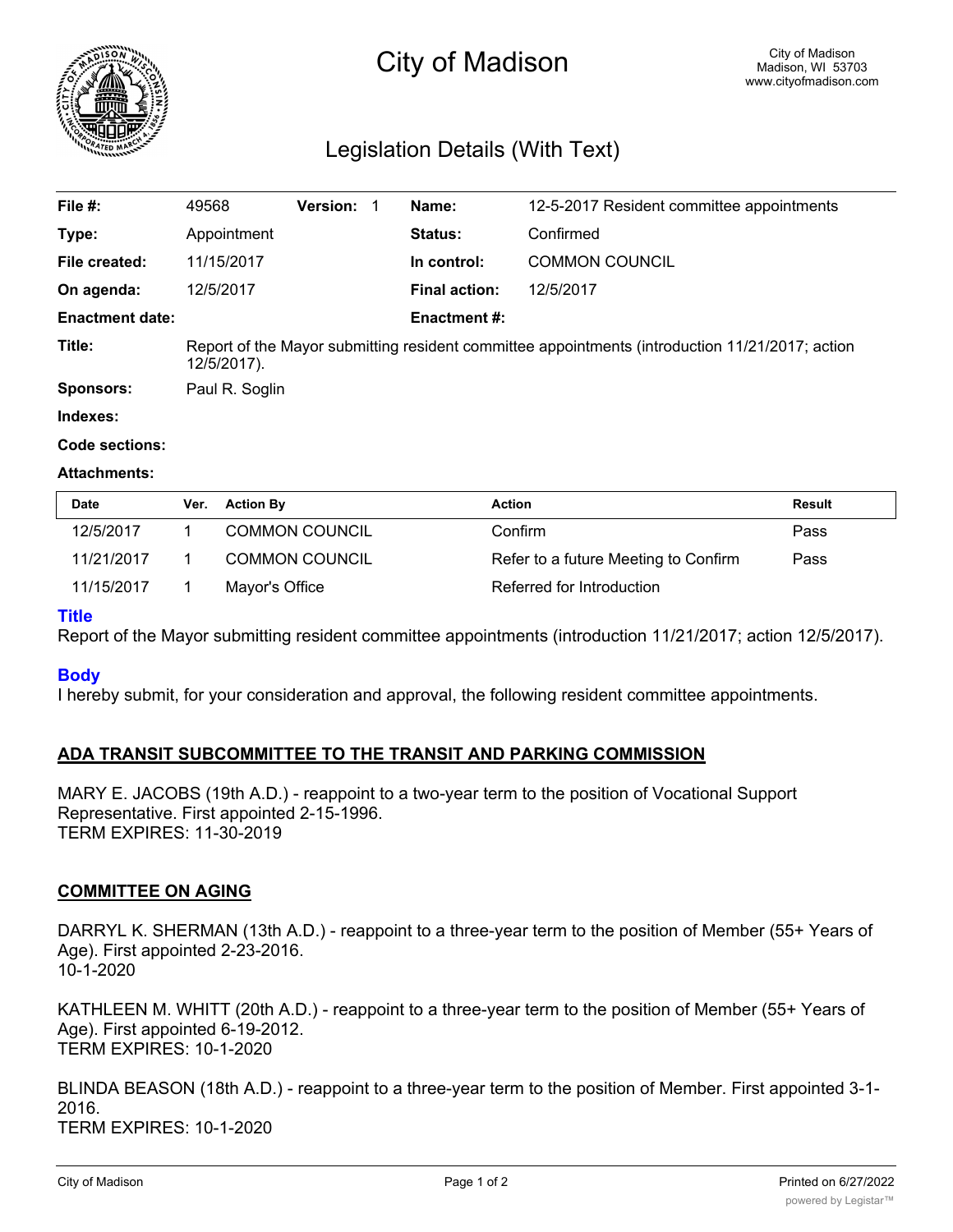

# City of Madison

# Legislation Details (With Text)

| File #:                | 49568                                                                                                          | <b>Version:</b> | Name:                | 12-5-2017 Resident committee appointments |  |
|------------------------|----------------------------------------------------------------------------------------------------------------|-----------------|----------------------|-------------------------------------------|--|
| Type:                  | Appointment                                                                                                    |                 | <b>Status:</b>       | Confirmed                                 |  |
| File created:          | 11/15/2017                                                                                                     |                 | In control:          | <b>COMMON COUNCIL</b>                     |  |
| On agenda:             | 12/5/2017                                                                                                      |                 | <b>Final action:</b> | 12/5/2017                                 |  |
| <b>Enactment date:</b> |                                                                                                                |                 | <b>Enactment #:</b>  |                                           |  |
| Title:                 | Report of the Mayor submitting resident committee appointments (introduction 11/21/2017; action<br>12/5/2017). |                 |                      |                                           |  |
| <b>Sponsors:</b>       | Paul R. Soglin                                                                                                 |                 |                      |                                           |  |
|                        |                                                                                                                |                 |                      |                                           |  |

**Indexes:**

#### **Code sections:**

#### **Attachments:**

| Date       | Ver. | <b>Action By</b>      | <b>Action</b>                        | Result |
|------------|------|-----------------------|--------------------------------------|--------|
| 12/5/2017  |      | <b>COMMON COUNCIL</b> | Confirm                              | Pass   |
| 11/21/2017 |      | <b>COMMON COUNCIL</b> | Refer to a future Meeting to Confirm | Pass   |
| 11/15/2017 |      | Mayor's Office        | Referred for Introduction            |        |

#### **Title**

Report of the Mayor submitting resident committee appointments (introduction 11/21/2017; action 12/5/2017).

#### **Body**

I hereby submit, for your consideration and approval, the following resident committee appointments.

# **ADA TRANSIT SUBCOMMITTEE TO THE TRANSIT AND PARKING COMMISSION**

MARY E. JACOBS (19th A.D.) - reappoint to a two-year term to the position of Vocational Support Representative. First appointed 2-15-1996. TERM EXPIRES: 11-30-2019

#### **COMMITTEE ON AGING**

DARRYL K. SHERMAN (13th A.D.) - reappoint to a three-year term to the position of Member (55+ Years of Age). First appointed 2-23-2016. 10-1-2020

KATHLEEN M. WHITT (20th A.D.) - reappoint to a three-year term to the position of Member (55+ Years of Age). First appointed 6-19-2012. TERM EXPIRES: 10-1-2020

BLINDA BEASON (18th A.D.) - reappoint to a three-year term to the position of Member. First appointed 3-1- 2016. TERM EXPIRES: 10-1-2020